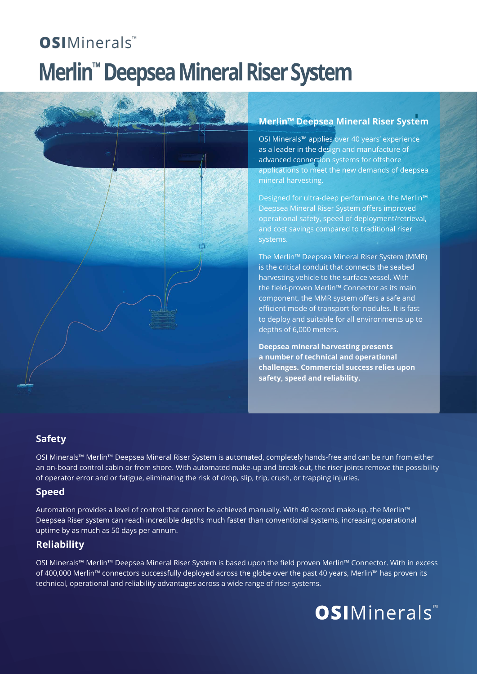# **OSI**Minerals™ **Merlin™ Deepsea Mineral Riser System**



## **Merlin™ Deepsea Mineral Riser System**

OSI Minerals™ applies over 40 years' experience as a leader in the design and manufacture of advanced connection systems for offshore applications to meet the new demands of deepsea mineral harvesting.

Designed for ultra-deep performance, the Merlin™ Deepsea Mineral Riser System offers improved operational safety, speed of deployment/retrieval, and cost savings compared to traditional riser systems.

The Merlin™ Deepsea Mineral Riser System (MMR) is the critical conduit that connects the seabed harvesting vehicle to the surface vessel. With the field-proven Merlin™ Connector as its main component, the MMR system offers a safe and efficient mode of transport for nodules. It is fast to deploy and suitable for all environments up to depths of 6,000 meters.

**Deepsea mineral harvesting presents a number of technical and operational challenges. Commercial success relies upon safety, speed and reliability.**

### **Safety**

OSI Minerals™ Merlin™ Deepsea Mineral Riser System is automated, completely hands-free and can be run from either an on-board control cabin or from shore. With automated make-up and break-out, the riser joints remove the possibility of operator error and or fatigue, eliminating the risk of drop, slip, trip, crush, or trapping injuries.

#### **Speed**

Automation provides a level of control that cannot be achieved manually. With 40 second make-up, the Merlin™ Deepsea Riser system can reach incredible depths much faster than conventional systems, increasing operational uptime by as much as 50 days per annum.

### **Reliability**

OSI Minerals™ Merlin™ Deepsea Mineral Riser System is based upon the field proven Merlin™ Connector. With in excess of 400,000 Merlin™ connectors successfully deployed across the globe over the past 40 years, Merlin™ has proven its technical, operational and reliability advantages across a wide range of riser systems.